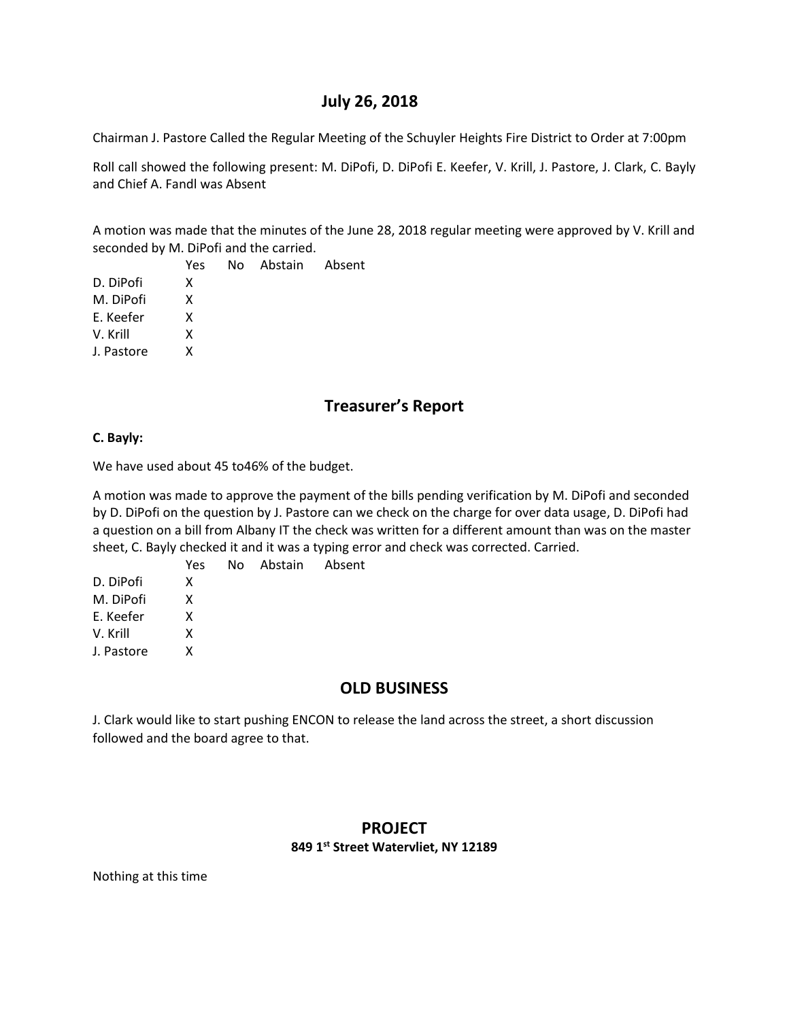## **July 26, 2018**

Chairman J. Pastore Called the Regular Meeting of the Schuyler Heights Fire District to Order at 7:00pm

Roll call showed the following present: M. DiPofi, D. DiPofi E. Keefer, V. Krill, J. Pastore, J. Clark, C. Bayly and Chief A. Fandl was Absent

A motion was made that the minutes of the June 28, 2018 regular meeting were approved by V. Krill and seconded by M. DiPofi and the carried.

|            | Yes | No Abstain Absent |  |
|------------|-----|-------------------|--|
| D. DiPofi  | x   |                   |  |
| M. DiPofi  | x   |                   |  |
| E. Keefer  | x   |                   |  |
| V. Krill   | x   |                   |  |
| J. Pastore | x   |                   |  |

# **Treasurer's Report**

### **C. Bayly:**

We have used about 45 to46% of the budget.

A motion was made to approve the payment of the bills pending verification by M. DiPofi and seconded by D. DiPofi on the question by J. Pastore can we check on the charge for over data usage, D. DiPofi had a question on a bill from Albany IT the check was written for a different amount than was on the master sheet, C. Bayly checked it and it was a typing error and check was corrected. Carried.

|            | <b>Yes</b> | No Abstain Absent |  |
|------------|------------|-------------------|--|
| D. DiPofi  | x          |                   |  |
| M. DiPofi  | x          |                   |  |
| E. Keefer  | x          |                   |  |
| V. Krill   | x          |                   |  |
| J. Pastore | x          |                   |  |

# **OLD BUSINESS**

J. Clark would like to start pushing ENCON to release the land across the street, a short discussion followed and the board agree to that.

## **PROJECT 849 1st Street Watervliet, NY 12189**

Nothing at this time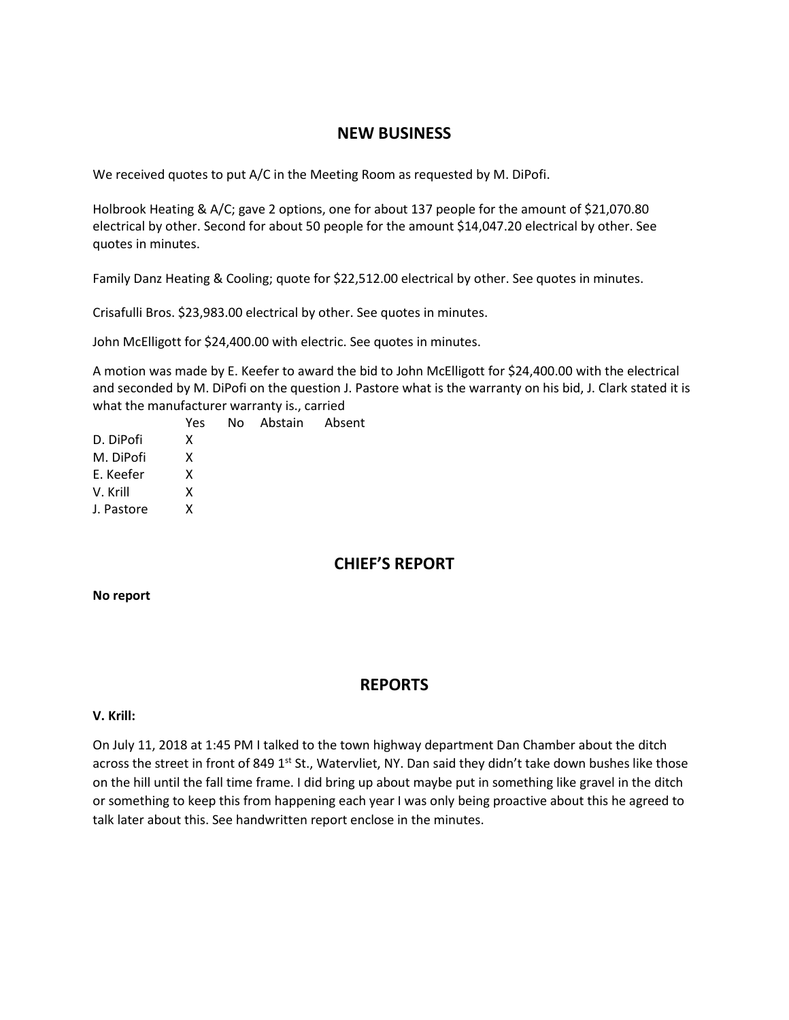## **NEW BUSINESS**

We received quotes to put A/C in the Meeting Room as requested by M. DiPofi.

Holbrook Heating & A/C; gave 2 options, one for about 137 people for the amount of \$21,070.80 electrical by other. Second for about 50 people for the amount \$14,047.20 electrical by other. See quotes in minutes.

Family Danz Heating & Cooling; quote for \$22,512.00 electrical by other. See quotes in minutes.

Crisafulli Bros. \$23,983.00 electrical by other. See quotes in minutes.

John McElligott for \$24,400.00 with electric. See quotes in minutes.

A motion was made by E. Keefer to award the bid to John McElligott for \$24,400.00 with the electrical and seconded by M. DiPofi on the question J. Pastore what is the warranty on his bid, J. Clark stated it is what the manufacturer warranty is., carried

|            | Yes | No. | Abstain Absent |  |
|------------|-----|-----|----------------|--|
| D. DiPofi  | x   |     |                |  |
| M. DiPofi  | x   |     |                |  |
| E. Keefer  | x   |     |                |  |
| V. Krill   | x   |     |                |  |
| J. Pastore | x   |     |                |  |
|            |     |     |                |  |

# **CHIEF'S REPORT**

### **No report**

## **REPORTS**

### **V. Krill:**

On July 11, 2018 at 1:45 PM I talked to the town highway department Dan Chamber about the ditch across the street in front of 849 1<sup>st</sup> St., Watervliet, NY. Dan said they didn't take down bushes like those on the hill until the fall time frame. I did bring up about maybe put in something like gravel in the ditch or something to keep this from happening each year I was only being proactive about this he agreed to talk later about this. See handwritten report enclose in the minutes.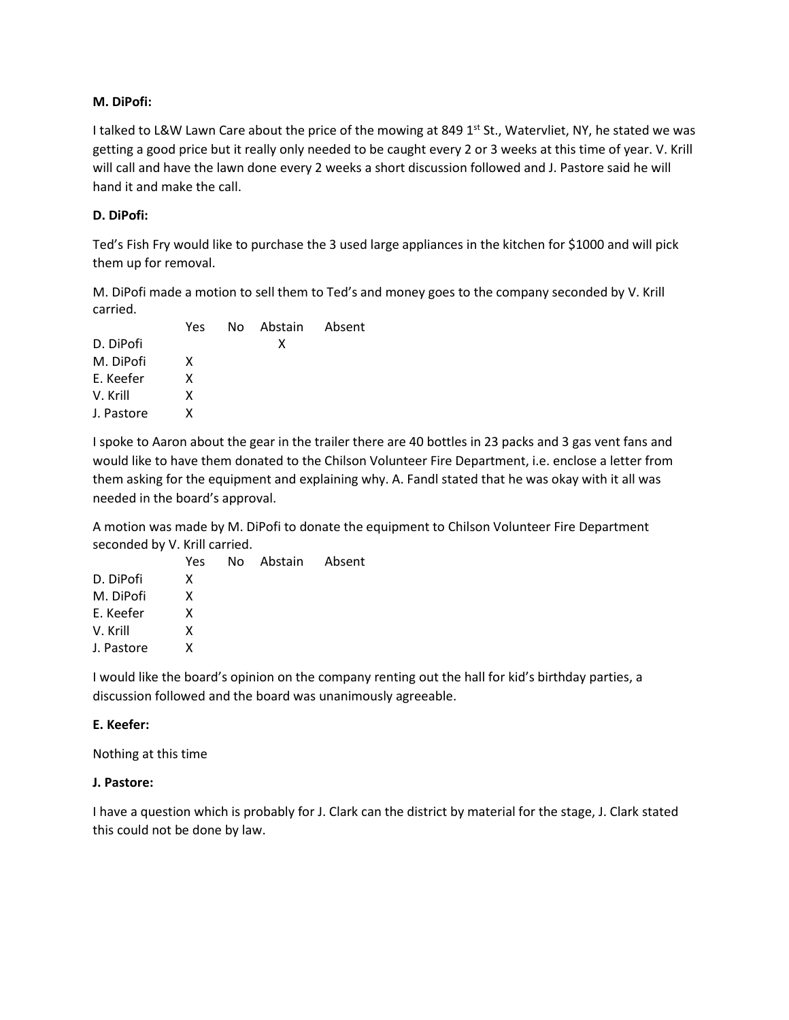### **M. DiPofi:**

I talked to L&W Lawn Care about the price of the mowing at 849 1<sup>st</sup> St., Watervliet, NY, he stated we was getting a good price but it really only needed to be caught every 2 or 3 weeks at this time of year. V. Krill will call and have the lawn done every 2 weeks a short discussion followed and J. Pastore said he will hand it and make the call.

### **D. DiPofi:**

Ted's Fish Fry would like to purchase the 3 used large appliances in the kitchen for \$1000 and will pick them up for removal.

M. DiPofi made a motion to sell them to Ted's and money goes to the company seconded by V. Krill carried.

|            | Yes | No Abstain Absent |  |
|------------|-----|-------------------|--|
| D. DiPofi  |     | x                 |  |
| M. DiPofi  | x   |                   |  |
| E. Keefer  | x   |                   |  |
| V. Krill   | x   |                   |  |
| J. Pastore | x   |                   |  |

I spoke to Aaron about the gear in the trailer there are 40 bottles in 23 packs and 3 gas vent fans and would like to have them donated to the Chilson Volunteer Fire Department, i.e. enclose a letter from them asking for the equipment and explaining why. A. Fandl stated that he was okay with it all was needed in the board's approval.

A motion was made by M. DiPofi to donate the equipment to Chilson Volunteer Fire Department seconded by V. Krill carried.

|            | Yes | No Abstain Absent |  |
|------------|-----|-------------------|--|
| D. DiPofi  | x   |                   |  |
| M. DiPofi  | x   |                   |  |
| E. Keefer  | x   |                   |  |
| V. Krill   | x   |                   |  |
| J. Pastore | x   |                   |  |

I would like the board's opinion on the company renting out the hall for kid's birthday parties, a discussion followed and the board was unanimously agreeable.

### **E. Keefer:**

Nothing at this time

### **J. Pastore:**

I have a question which is probably for J. Clark can the district by material for the stage, J. Clark stated this could not be done by law.